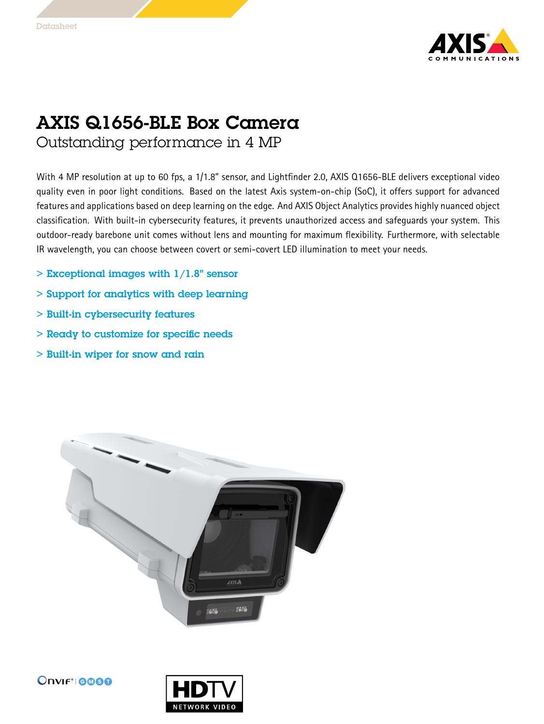

## AXIS Q1656-BLE Box Camera

Outstanding performance in 4 MP

With <sup>4</sup> MP resolution at up to <sup>60</sup> fps, <sup>a</sup> 1/1.8" sensor, and Lightfinder 2.0, AXIS Q1656-BLE delivers exceptional video quality even in poor light conditions. Based on the latest Axis system-on-chip (SoC), it offers support for advanced features and applications based on deep learning on the edge. And AXIS Object Analytics provides highly nuanced object classification. With built-in cybersecurity features, it prevents unauthorized access and safeguards your system. This outdoor-ready barebone unit comes without lens and mounting for maximum flexibility. Furthermore, with selectable IR wavelength, you can choose between covert or semi-covert LED illumination to meet your needs.

- $>$  Exceptional images with  $1/1.8"$  sensor
- > Support for analytics with deep learning
- > Built-in cybersecurity features
- > Ready to customize for specific needs
- > Built-in wiper for snow and rain



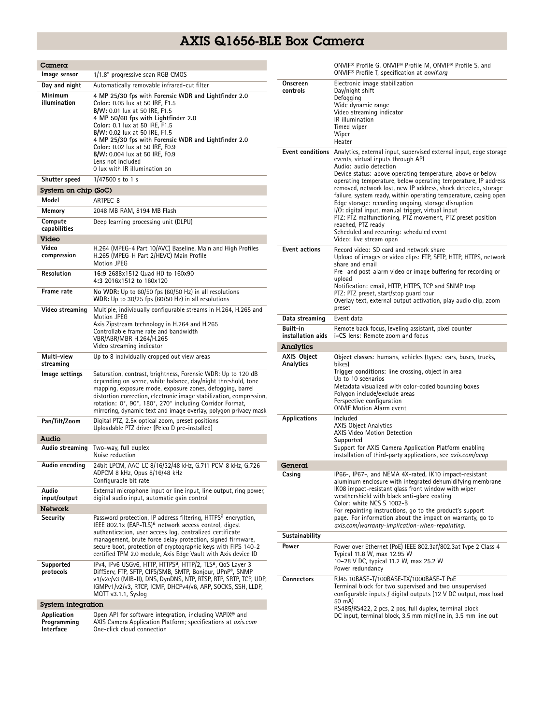## AXIS Q1656-BLE Box Camera

| Camera                                  |                                                                                                                                                                                                                                                                                                                                                                                                 |                                                                           | ONVIF® Profile G, ONVIF® Profile M, ONVIF® Profile S, and                                                                                                                                                                                                                                                                                                                               |  |
|-----------------------------------------|-------------------------------------------------------------------------------------------------------------------------------------------------------------------------------------------------------------------------------------------------------------------------------------------------------------------------------------------------------------------------------------------------|---------------------------------------------------------------------------|-----------------------------------------------------------------------------------------------------------------------------------------------------------------------------------------------------------------------------------------------------------------------------------------------------------------------------------------------------------------------------------------|--|
| Image sensor                            | 1/1.8" progressive scan RGB CMOS                                                                                                                                                                                                                                                                                                                                                                |                                                                           | ONVIF <sup>®</sup> Profile T, specification at onvif.org                                                                                                                                                                                                                                                                                                                                |  |
| Day and night                           | Automatically removable infrared-cut filter                                                                                                                                                                                                                                                                                                                                                     | Onscreen<br>Electronic image stabilization<br>controls<br>Day/night shift |                                                                                                                                                                                                                                                                                                                                                                                         |  |
| Minimum<br>illumination                 | 4 MP 25/30 fps with Forensic WDR and Lightfinder 2.0<br>Color: 0.05 lux at 50 IRE, F1.5<br>B/W: 0.01 lux at 50 IRE, F1.5<br>4 MP 50/60 fps with Lightfinder 2.0<br>Color: 0.1 lux at 50 IRE, F1.5<br>B/W: 0.02 lux at 50 IRE, F1.5<br>4 MP 25/30 fps with Forensic WDR and Lightfinder 2.0<br>Color: 0.02 lux at 50 IRE, F0.9<br>B/W: 0.004 lux at 50 IRE, F0.9                                 |                                                                           | Defogging<br>Wide dynamic range<br>Video streaming indicator<br>IR illumination<br>Timed wiper<br>Wiper<br>Heater<br><b>Event conditions</b> Analytics, external input, supervised external input, edge storage                                                                                                                                                                         |  |
| Shutter speed                           | Lens not included<br>0 lux with IR illumination on<br>$1/47500$ s to 1 s                                                                                                                                                                                                                                                                                                                        |                                                                           | events, virtual inputs through API<br>Audio: audio detection<br>Device status: above operating temperature, above or below<br>operating temperature, below operating temperature, IP address<br>removed, network lost, new IP address, shock detected, storage                                                                                                                          |  |
| System on chip (SoC)                    |                                                                                                                                                                                                                                                                                                                                                                                                 |                                                                           |                                                                                                                                                                                                                                                                                                                                                                                         |  |
| Model                                   | ARTPEC-8                                                                                                                                                                                                                                                                                                                                                                                        |                                                                           | failure, system ready, within operating temperature, casing open                                                                                                                                                                                                                                                                                                                        |  |
| Memory                                  | 2048 MB RAM, 8194 MB Flash                                                                                                                                                                                                                                                                                                                                                                      |                                                                           | Edge storage: recording ongoing, storage disruption<br>I/O: digital input, manual trigger, virtual input                                                                                                                                                                                                                                                                                |  |
| Compute                                 | Deep learning processing unit (DLPU)                                                                                                                                                                                                                                                                                                                                                            |                                                                           | PTZ: PTZ malfunctioning, PTZ movement, PTZ preset position                                                                                                                                                                                                                                                                                                                              |  |
| capabilities                            |                                                                                                                                                                                                                                                                                                                                                                                                 | reached, PTZ ready<br>Scheduled and recurring: scheduled event            |                                                                                                                                                                                                                                                                                                                                                                                         |  |
| Video                                   |                                                                                                                                                                                                                                                                                                                                                                                                 |                                                                           | Video: live stream open                                                                                                                                                                                                                                                                                                                                                                 |  |
| Video<br>compression                    | H.264 (MPEG-4 Part 10/AVC) Baseline, Main and High Profiles<br>H.265 (MPEG-H Part 2/HEVC) Main Profile<br>Motion JPEG                                                                                                                                                                                                                                                                           | <b>Event actions</b>                                                      | Record video: SD card and network share<br>Upload of images or video clips: FTP, SFTP, HTTP, HTTPS, network<br>share and email<br>Pre- and post-alarm video or image buffering for recording or<br>upload<br>Notification: email, HTTP, HTTPS, TCP and SNMP trap<br>PTZ: PTZ preset, start/stop quard tour<br>Overlay text, external output activation, play audio clip, zoom<br>preset |  |
| Resolution                              | 16:9 2688x1512 Quad HD to 160x90<br>4:3 2016x1512 to 160x120                                                                                                                                                                                                                                                                                                                                    |                                                                           |                                                                                                                                                                                                                                                                                                                                                                                         |  |
| Frame rate                              | No WDR: Up to 60/50 fps (60/50 Hz) in all resolutions<br>WDR: Up to 30/25 fps (60/50 Hz) in all resolutions                                                                                                                                                                                                                                                                                     |                                                                           |                                                                                                                                                                                                                                                                                                                                                                                         |  |
| Video streaming                         | Multiple, individually configurable streams in H.264, H.265 and<br><b>Motion JPEG</b>                                                                                                                                                                                                                                                                                                           | Data streaming                                                            | Event data                                                                                                                                                                                                                                                                                                                                                                              |  |
|                                         | Axis Zipstream technology in H.264 and H.265                                                                                                                                                                                                                                                                                                                                                    | Built-in                                                                  | Remote back focus, leveling assistant, pixel counter                                                                                                                                                                                                                                                                                                                                    |  |
|                                         | Controllable frame rate and bandwidth<br>VBR/ABR/MBR H.264/H.265                                                                                                                                                                                                                                                                                                                                | installation aids                                                         | i-CS lens: Remote zoom and focus                                                                                                                                                                                                                                                                                                                                                        |  |
|                                         | Video streaming indicator                                                                                                                                                                                                                                                                                                                                                                       | Analytics                                                                 |                                                                                                                                                                                                                                                                                                                                                                                         |  |
| Multi-view<br>streaming                 | Up to 8 individually cropped out view areas                                                                                                                                                                                                                                                                                                                                                     | <b>AXIS Object</b><br>Analytics                                           | Object classes: humans, vehicles (types: cars, buses, trucks,<br>bikes)                                                                                                                                                                                                                                                                                                                 |  |
| Image settings                          | Saturation, contrast, brightness, Forensic WDR: Up to 120 dB<br>depending on scene, white balance, day/night threshold, tone<br>mapping, exposure mode, exposure zones, defogging, barrel<br>distortion correction, electronic image stabilization, compression,<br>rotation: 0°, 90°, 180°, 270° including Corridor Format,<br>mirroring, dynamic text and image overlay, polygon privacy mask |                                                                           | Trigger conditions: line crossing, object in area<br>Up to 10 scenarios<br>Metadata visualized with color-coded bounding boxes<br>Polygon include/exclude areas<br>Perspective configuration<br><b>ONVIF Motion Alarm event</b>                                                                                                                                                         |  |
| Pan/Tilt/Zoom                           | Digital PTZ, 2.5x optical zoom, preset positions<br>Uploadable PTZ driver (Pelco D pre-installed)                                                                                                                                                                                                                                                                                               | <b>Applications</b>                                                       | Included<br><b>AXIS Object Analytics</b><br><b>AXIS Video Motion Detection</b>                                                                                                                                                                                                                                                                                                          |  |
| Audio                                   |                                                                                                                                                                                                                                                                                                                                                                                                 |                                                                           | Supported                                                                                                                                                                                                                                                                                                                                                                               |  |
| Audio streaming                         | Two-way, full duplex<br>Noise reduction                                                                                                                                                                                                                                                                                                                                                         |                                                                           | Support for AXIS Camera Application Platform enabling<br>installation of third-party applications, see axis.com/acap                                                                                                                                                                                                                                                                    |  |
| Audio encoding                          | 24bit LPCM, AAC-LC 8/16/32/48 kHz, G.711 PCM 8 kHz, G.726                                                                                                                                                                                                                                                                                                                                       | General                                                                   |                                                                                                                                                                                                                                                                                                                                                                                         |  |
|                                         | ADPCM 8 kHz, Opus 8/16/48 kHz                                                                                                                                                                                                                                                                                                                                                                   | Casing                                                                    | IP66-, IP67-, and NEMA 4X-rated, IK10 impact-resistant                                                                                                                                                                                                                                                                                                                                  |  |
| Audio                                   | Configurable bit rate<br>External microphone input or line input, line output, ring power,                                                                                                                                                                                                                                                                                                      |                                                                           | aluminum enclosure with integrated dehumidifying membrane<br>IK08 impact-resistant glass front window with wiper                                                                                                                                                                                                                                                                        |  |
| input/output                            | digital audio input, automatic gain control                                                                                                                                                                                                                                                                                                                                                     |                                                                           | weathershield with black anti-glare coating<br>Color: white NCS S 1002-B                                                                                                                                                                                                                                                                                                                |  |
| <b>Network</b>                          |                                                                                                                                                                                                                                                                                                                                                                                                 |                                                                           | For repainting instructions, go to the product's support                                                                                                                                                                                                                                                                                                                                |  |
| Security                                | Password protection, IP address filtering, HTTPS <sup>a</sup> encryption,<br>IEEE 802.1x (EAP-TLS) <sup>a</sup> network access control, digest                                                                                                                                                                                                                                                  |                                                                           | page. For information about the impact on warranty, go to<br>axis.com/warranty-implication-when-repainting.                                                                                                                                                                                                                                                                             |  |
|                                         | authentication, user access log, centralized certificate                                                                                                                                                                                                                                                                                                                                        | Sustainability                                                            |                                                                                                                                                                                                                                                                                                                                                                                         |  |
|                                         | management, brute force delay protection, signed firmware,<br>secure boot, protection of cryptographic keys with FIPS 140-2                                                                                                                                                                                                                                                                     | Power                                                                     | Power over Ethernet (PoE) IEEE 802.3af/802.3at Type 2 Class 4                                                                                                                                                                                                                                                                                                                           |  |
|                                         | certified TPM 2.0 module, Axis Edge Vault with Axis device ID                                                                                                                                                                                                                                                                                                                                   |                                                                           | Typical 11.8 W, max 12.95 W                                                                                                                                                                                                                                                                                                                                                             |  |
| Supported                               | IPv4, IPv6 USGv6, HTTP, HTTPS <sup>a</sup> , HTTP/2, TLS <sup>a</sup> , QoS Layer 3<br>DiffServ, FTP, SFTP, CIFS/SMB, SMTP, Bonjour, UPnP®, SNMP<br>v1/v2c/v3 (MIB-II), DNS, DynDNS, NTP, RTSP, RTP, SRTP, TCP, UDP,<br>IGMPv1/v2/v3, RTCP, ICMP, DHCPv4/v6, ARP, SOCKS, SSH, LLDP,<br>MQTT v3.1.1, Syslog                                                                                      |                                                                           | 10-28 V DC, typical 11.2 W, max 25.2 W<br>Power redundancy                                                                                                                                                                                                                                                                                                                              |  |
| protocols                               |                                                                                                                                                                                                                                                                                                                                                                                                 | Connectors                                                                | RJ45 10BASE-T/100BASE-TX/1000BASE-T PoE<br>Terminal block for two supervised and two unsupervised<br>configurable inputs / digital outputs (12 V DC output, max load                                                                                                                                                                                                                    |  |
| System integration                      |                                                                                                                                                                                                                                                                                                                                                                                                 |                                                                           | 50 mA)<br>RS485/RS422, 2 pcs, 2 pos, full duplex, terminal block                                                                                                                                                                                                                                                                                                                        |  |
| Application<br>Programming<br>Interface | Open API for software integration, including VAPIX <sup>®</sup> and<br>AXIS Camera Application Platform; specifications at axis.com<br>One-click cloud connection                                                                                                                                                                                                                               | DC input, terminal block, 3.5 mm mic/line in, 3.5 mm line out             |                                                                                                                                                                                                                                                                                                                                                                                         |  |